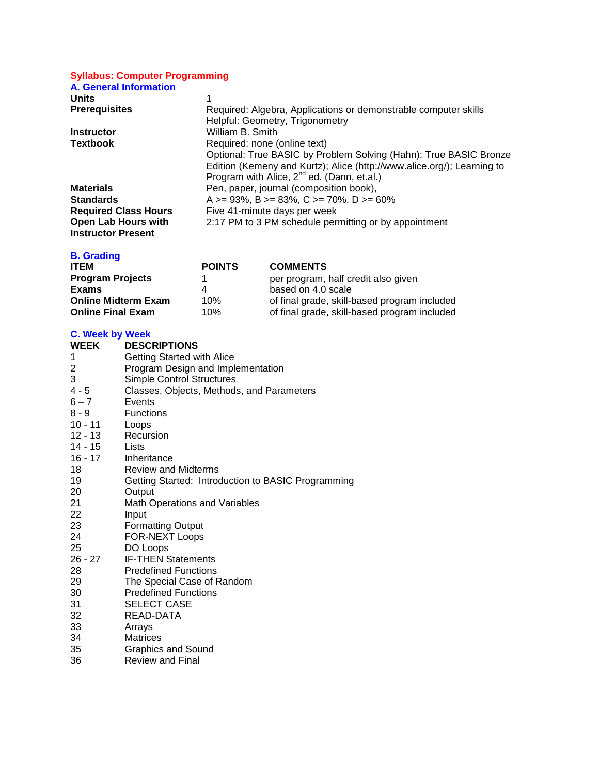## **Syllabus: Computer Programming**

| <b>A. General Information</b> |                                                                        |
|-------------------------------|------------------------------------------------------------------------|
| <b>Units</b>                  |                                                                        |
| <b>Prerequisites</b>          | Required: Algebra, Applications or demonstrable computer skills        |
|                               | Helpful: Geometry, Trigonometry                                        |
| <b>Instructor</b>             | William B. Smith                                                       |
| <b>Textbook</b>               | Required: none (online text)                                           |
|                               | Optional: True BASIC by Problem Solving (Hahn); True BASIC Bronze      |
|                               | Edition (Kemeny and Kurtz); Alice (http://www.alice.org/); Learning to |
|                               | Program with Alice, 2 <sup>nd</sup> ed. (Dann, et.al.)                 |
| <b>Materials</b>              | Pen, paper, journal (composition book),                                |
| <b>Standards</b>              | A >= 93%, B >= 83%, C >= 70%, D >= 60%                                 |
| <b>Required Class Hours</b>   | Five 41-minute days per week                                           |
| Open Lab Hours with           | 2:17 PM to 3 PM schedule permitting or by appointment                  |
| <b>Instructor Present</b>     |                                                                        |

## **B. Grading**

| <b>ITEM</b>                | <b>POINTS</b> | <b>COMMENTS</b>                              |
|----------------------------|---------------|----------------------------------------------|
| <b>Program Projects</b>    |               | per program, half credit also given          |
| Exams                      | Δ             | based on 4.0 scale                           |
| <b>Online Midterm Exam</b> | 10%           | of final grade, skill-based program included |
| <b>Online Final Exam</b>   | 10%           | of final grade, skill-based program included |

## **C. Week by Week**

| <b>WEEK</b> | <b>DESCRIPTIONS</b>                                |
|-------------|----------------------------------------------------|
| 1           | <b>Getting Started with Alice</b>                  |
| 2           | Program Design and Implementation                  |
| 3           | <b>Simple Control Structures</b>                   |
| $4 - 5$     | Classes, Objects, Methods, and Parameters          |
| $6 - 7$     | Events                                             |
| $8 - 9$     | <b>Functions</b>                                   |
| $10 - 11$   | Loops                                              |
| $12 - 13$   | Recursion                                          |
| 14 - 15     | Lists                                              |
| $16 - 17$   | Inheritance                                        |
| 18          | <b>Review and Midterms</b>                         |
| 19          | Getting Started: Introduction to BASIC Programming |
| 20          | Output                                             |
| 21          | <b>Math Operations and Variables</b>               |
| 22          | Input                                              |
| 23          | <b>Formatting Output</b>                           |
| 24          | FOR-NEXT Loops                                     |
| 25          | DO Loops                                           |
| 26 - 27     | <b>IF-THEN Statements</b>                          |
| 28          | <b>Predefined Functions</b>                        |
| 29          | The Special Case of Random                         |
| 30          | <b>Predefined Functions</b>                        |
| 31          | <b>SELECT CASE</b>                                 |
| 32          | READ-DATA                                          |
| 33          | Arrays                                             |
| 34          | <b>Matrices</b>                                    |
| 35          | <b>Graphics and Sound</b>                          |
| 36          | <b>Review and Final</b>                            |